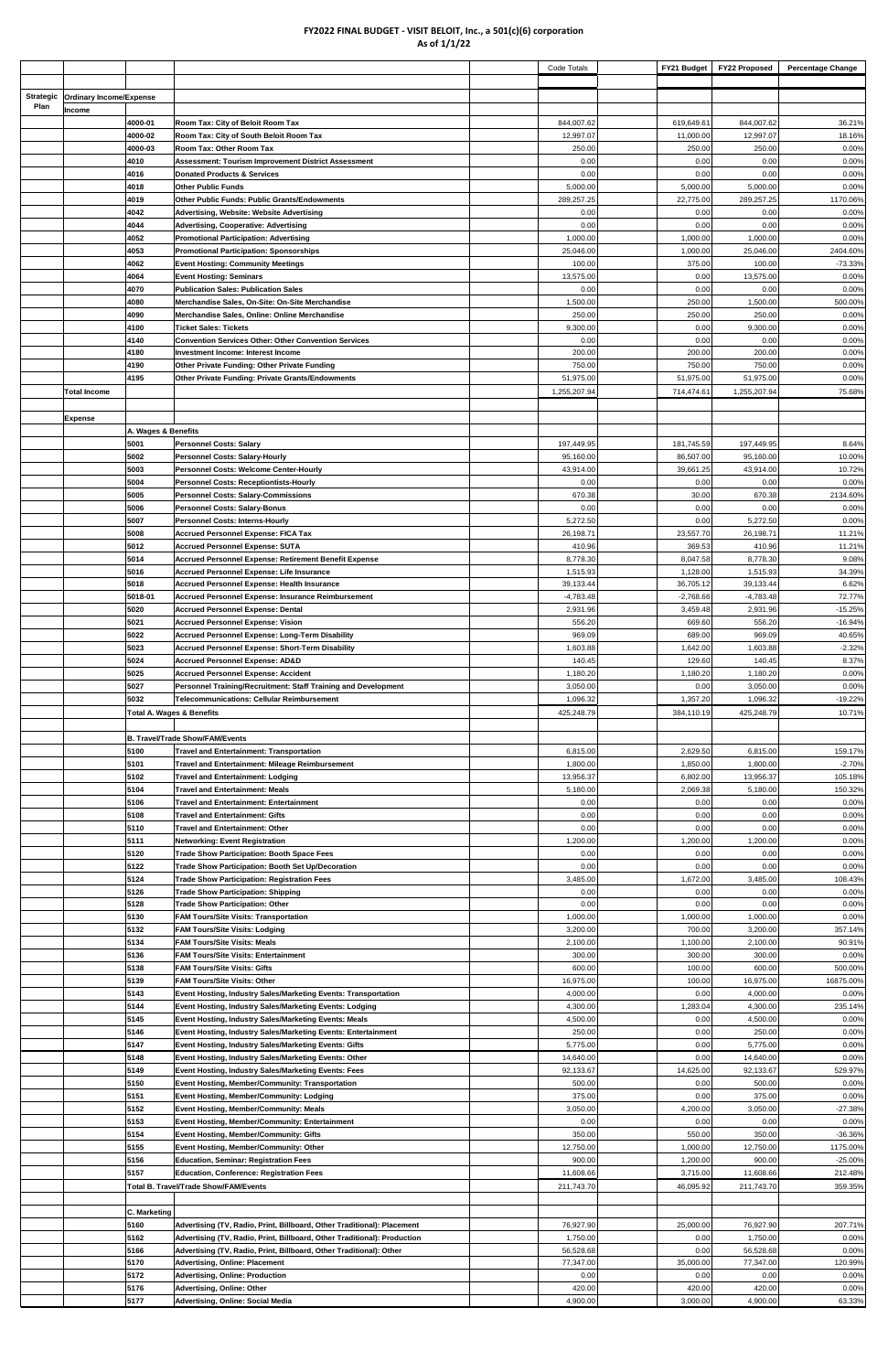## **FY2022 FINAL BUDGET - VISIT BELOIT, Inc., a 501(c)(6) corporation As of 1/1/22**

|                  |                                |                     |                                                                                                                                                     | Code Totals              | FY21 Budget              | <b>FY22 Proposed</b>     | <b>Percentage Change</b> |
|------------------|--------------------------------|---------------------|-----------------------------------------------------------------------------------------------------------------------------------------------------|--------------------------|--------------------------|--------------------------|--------------------------|
|                  |                                |                     |                                                                                                                                                     |                          |                          |                          |                          |
| <b>Strategic</b> | <b>Ordinary Income/Expense</b> |                     |                                                                                                                                                     |                          |                          |                          |                          |
| Plan             | Income                         |                     |                                                                                                                                                     |                          |                          |                          |                          |
|                  |                                | 4000-01<br>4000-02  | Room Tax: City of Beloit Room Tax<br>Room Tax: City of South Beloit Room Tax                                                                        | 844,007.62<br>12,997.07  | 619,649.61<br>11,000.00  | 844,007.62<br>12,997.07  | 36.21%<br>18.16%         |
|                  |                                | 4000-03             | Room Tax: Other Room Tax                                                                                                                            | 250.00                   | 250.00                   | 250.00                   | 0.00%                    |
|                  |                                | 4010                | Assessment: Tourism Improvement District Assessment                                                                                                 | 0.00                     | 0.00                     | 0.00                     | 0.00%                    |
|                  |                                | 4016                | <b>Donated Products &amp; Services</b>                                                                                                              | 0.00                     | 0.00                     | 0.00                     | 0.00%                    |
|                  |                                | 4018<br>4019        | <b>Other Public Funds</b><br>Other Public Funds: Public Grants/Endowments                                                                           | 5,000.00<br>289,257.25   | 5,000.00<br>22,775.00    | 5,000.00<br>289,257.25   | 0.00%<br>1170.06%        |
|                  |                                | 4042                | Advertising, Website: Website Advertising                                                                                                           | 0.00                     | 0.00                     | 0.00                     | 0.00%                    |
|                  |                                | 4044                | Advertising, Cooperative: Advertising                                                                                                               | 0.00                     | 0.00                     | 0.00                     | 0.00%                    |
|                  |                                | 4052                | Promotional Participation: Advertising                                                                                                              | 1,000.00                 | 1,000.00                 | 1,000.00                 | 0.00%                    |
|                  |                                | 4053                | <b>Promotional Participation: Sponsorships</b>                                                                                                      | 25,046.00                | 1,000.00                 | 25,046.00                | 2404.60%                 |
|                  |                                | 4062<br>4064        | <b>Event Hosting: Community Meetings</b><br><b>Event Hosting: Seminars</b>                                                                          | 100.00<br>13,575.00      | 375.00<br>0.00           | 100.00<br>13,575.00      | -73.33%<br>0.00%         |
|                  |                                | 4070                | <b>Publication Sales: Publication Sales</b>                                                                                                         | 0.00                     | 0.00                     | 0.00                     | 0.00%                    |
|                  |                                | 4080                | Merchandise Sales, On-Site: On-Site Merchandise                                                                                                     | 1,500.00                 | 250.00                   | 1,500.00                 | 500.00%                  |
|                  |                                | 4090                | Merchandise Sales, Online: Online Merchandise                                                                                                       | 250.00                   | 250.00                   | 250.00                   | 0.00%                    |
|                  |                                | 4100<br>4140        | <b>Ticket Sales: Tickets</b><br><b>Convention Services Other: Other Convention Services</b>                                                         | 9,300.00<br>0.00         | 0.00<br>0.00             | 9,300.00<br>0.00         | 0.00%<br>0.00%           |
|                  |                                | 4180                | Investment Income: Interest Income                                                                                                                  | 200.00                   | 200.00                   | 200.00                   | 0.00%                    |
|                  |                                | 4190                | Other Private Funding: Other Private Funding                                                                                                        | 750.00                   | 750.00                   | 750.00                   | 0.00%                    |
|                  |                                | 4195                | Other Private Funding: Private Grants/Endowments                                                                                                    | 51,975.00                | 51,975.00                | 51,975.00                | 0.00%                    |
|                  | Total Income                   |                     |                                                                                                                                                     | 1,255,207.94             | 714,474.61               | 1,255,207.94             | 75.68%                   |
|                  | Expense                        |                     |                                                                                                                                                     |                          |                          |                          |                          |
|                  |                                | A. Wages & Benefits |                                                                                                                                                     |                          |                          |                          |                          |
|                  |                                | 5001                | <b>Personnel Costs: Salary</b>                                                                                                                      | 197,449.95               | 181,745.59               | 197,449.95               | 8.64%                    |
|                  |                                | 5002<br>5003        | <b>Personnel Costs: Salary-Hourly</b><br>Personnel Costs: Welcome Center-Hourly                                                                     | 95,160.00<br>43,914.00   | 86,507.00<br>39,661.25   | 95,160.00<br>43,914.00   | 10.00%<br>10.72%         |
|                  |                                | 5004                | Personnel Costs: Receptiontists-Hourly                                                                                                              | 0.00                     | 0.00                     | 0.00                     | 0.00%                    |
|                  |                                | 5005                | Personnel Costs: Salary-Commissions                                                                                                                 | 670.38                   | 30.00                    | 670.38                   | 2134.60%                 |
|                  |                                | 5006                | Personnel Costs: Salary-Bonus                                                                                                                       | 0.00                     | 0.00                     | 0.00                     | 0.00%                    |
|                  |                                | 5007<br>5008        | Personnel Costs: Interns-Hourly<br><b>Accrued Personnel Expense: FICA Tax</b>                                                                       | 5,272.50<br>26,198.71    | 0.00<br>23,557.70        | 5,272.50<br>26,198.71    | 0.00%<br>11.21%          |
|                  |                                | 5012                | <b>Accrued Personnel Expense: SUTA</b>                                                                                                              | 410.96                   | 369.53                   | 410.96                   | 11.21%                   |
|                  |                                | 5014                | Accrued Personnel Expense: Retirement Benefit Expense                                                                                               | 8,778.30                 | 8,047.58                 | 8,778.30                 | 9.08%                    |
|                  |                                | 5016                | Accrued Personnel Expense: Life Insurance                                                                                                           | 1,515.93                 | 1,128.00                 | 1,515.93                 | 34.39%                   |
|                  |                                | 5018<br>5018-01     | Accrued Personnel Expense: Health Insurance<br>Accrued Personnel Expense: Insurance Reimbursement                                                   | 39,133.44<br>$-4,783.48$ | 36,705.12<br>$-2,768.66$ | 39,133.44<br>$-4,783.48$ | 6.62%<br>72.77%          |
|                  |                                | 5020                | <b>Accrued Personnel Expense: Dental</b>                                                                                                            | 2,931.96                 | 3,459.48                 | 2,931.96                 | $-15.25%$                |
|                  |                                | 5021                | <b>Accrued Personnel Expense: Vision</b>                                                                                                            | 556.20                   | 669.60                   | 556.20                   | $-16.94%$                |
|                  |                                | 5022                | Accrued Personnel Expense: Long-Term Disability                                                                                                     | 969.09                   | 689.00                   | 969.09                   | 40.65%                   |
|                  |                                | 5023<br>5024        | <b>Accrued Personnel Expense: Short-Term Disability</b><br><b>Accrued Personnel Expense: AD&amp;D</b>                                               | 1,603.88<br>140.45       | 1,642.00<br>129.60       | 1,603.88<br>140.45       | $-2.32%$<br>8.37%        |
|                  |                                | 5025                | <b>Accrued Personnel Expense: Accident</b>                                                                                                          | 1,180.20                 | 1,180.20                 | 1,180.20                 | 0.00%                    |
|                  |                                | 5027                | Personnel Training/Recruitment: Staff Training and Development                                                                                      | 3,050.00                 | 0.00                     | 3,050.00                 | 0.00%                    |
|                  |                                | 5032                | Telecommunications: Cellular Reimbursement<br><b>Total A. Wages &amp; Benefits</b>                                                                  | 1,096.32<br>425,248.79   | 1,357.20<br>384,110.19   | 1,096.32<br>425,248.79   | $-19.22%$<br>10.71%      |
|                  |                                |                     |                                                                                                                                                     |                          |                          |                          |                          |
|                  |                                |                     | <b>B. Travel/Trade Show/FAM/Events</b>                                                                                                              |                          |                          |                          |                          |
|                  |                                | 5100                | <b>Travel and Entertainment: Transportation</b>                                                                                                     | 6,815.00                 | 2,629.50                 | 6,815.00                 | 159.17%                  |
|                  |                                | 5101<br>5102        | Travel and Entertainment: Mileage Reimbursement<br>Travel and Entertainment: Lodging                                                                | 1,800.00<br>13,956.37    | 1,850.00<br>6,802.00     | 1,800.00<br>13,956.37    | $-2.70%$<br>105.18%      |
|                  |                                | 5104                | Travel and Entertainment: Meals                                                                                                                     | 5,180.00                 | 2,069.38                 | 5,180.00                 | 150.32%                  |
|                  |                                | 5106                | Travel and Entertainment: Entertainment                                                                                                             | 0.00                     | 0.00                     | 0.00                     | 0.00%                    |
|                  |                                | 5108<br>5110        | Travel and Entertainment: Gifts<br>Travel and Entertainment: Other                                                                                  | 0.00<br>0.00             | 0.00<br>0.00             | 0.00<br>0.00             | 0.00%<br>0.00%           |
|                  |                                | 5111                | <b>Networking: Event Registration</b>                                                                                                               | 1,200.00                 | 1,200.00                 | 1,200.00                 | 0.00%                    |
|                  |                                | 5120                | <b>Trade Show Participation: Booth Space Fees</b>                                                                                                   | 0.00                     | 0.00                     | 0.00                     | 0.00%                    |
|                  |                                | 5122<br>5124        | Trade Show Participation: Booth Set Up/Decoration                                                                                                   | 0.00                     | 0.00                     | 0.00<br>3,485.00         | 0.00%                    |
|                  |                                | 5126                | Trade Show Participation: Registration Fees<br>Trade Show Participation: Shipping                                                                   | 3,485.00<br>0.00         | 1,672.00<br>0.00         | 0.00                     | 108.43%<br>0.00%         |
|                  |                                | 5128                | Trade Show Participation: Other                                                                                                                     | 0.00                     | 0.00                     | 0.00                     | 0.00%                    |
|                  |                                | 5130                | <b>FAM Tours/Site Visits: Transportation</b>                                                                                                        | 1,000.00                 | 1,000.00                 | 1,000.00                 | 0.00%                    |
|                  |                                | 5132<br>5134        | <b>FAM Tours/Site Visits: Lodging</b><br><b>FAM Tours/Site Visits: Meals</b>                                                                        | 3,200.00<br>2,100.00     | 700.00<br>1,100.00       | 3,200.00<br>2,100.00     | 357.14%<br>90.91%        |
|                  |                                | 5136                | <b>FAM Tours/Site Visits: Entertainment</b>                                                                                                         | 300.00                   | 300.00                   | 300.00                   | 0.00%                    |
|                  |                                | 5138                | <b>FAM Tours/Site Visits: Gifts</b>                                                                                                                 | 600.00                   | 100.00                   | 600.00                   | 500.00%                  |
|                  |                                | 5139                | <b>FAM Tours/Site Visits: Other</b>                                                                                                                 | 16,975.00                | 100.00                   | 16,975.00                | 16875.00%                |
|                  |                                | 5143<br>5144        | Event Hosting, Industry Sales/Marketing Events: Transportation<br>Event Hosting, Industry Sales/Marketing Events: Lodging                           | 4,000.00<br>4,300.00     | 0.00<br>1,283.04         | 4,000.00<br>4,300.00     | 0.00%<br>235.14%         |
|                  |                                | 5145                | Event Hosting, Industry Sales/Marketing Events: Meals                                                                                               | 4,500.00                 | 0.00                     | 4,500.00                 | 0.00%                    |
|                  |                                | 5146                | Event Hosting, Industry Sales/Marketing Events: Entertainment                                                                                       | 250.00                   | 0.00                     | 250.00                   | 0.00%                    |
|                  |                                | 5147                | Event Hosting, Industry Sales/Marketing Events: Gifts                                                                                               | 5,775.00                 | 0.00                     | 5,775.00                 | 0.00%                    |
|                  |                                | 5148<br>5149        | Event Hosting, Industry Sales/Marketing Events: Other<br>Event Hosting, Industry Sales/Marketing Events: Fees                                       | 14,640.00<br>92,133.67   | 0.00<br>14,625.00        | 14,640.00<br>92,133.67   | 0.00%<br>529.97%         |
|                  |                                | 5150                | Event Hosting, Member/Community: Transportation                                                                                                     | 500.00                   | 0.00                     | 500.00                   | 0.00%                    |
|                  |                                | 5151                | Event Hosting, Member/Community: Lodging                                                                                                            | 375.00                   | 0.00                     | 375.00                   | 0.00%                    |
|                  |                                | 5152<br>5153        | Event Hosting, Member/Community: Meals<br>Event Hosting, Member/Community: Entertainment                                                            | 3,050.00<br>0.00         | 4,200.00<br>0.00         | 3,050.00<br>0.00         | $-27.38%$<br>0.00%       |
|                  |                                | 5154                | <b>Event Hosting, Member/Community: Gifts</b>                                                                                                       | 350.00                   | 550.00                   | 350.00                   | -36.36%                  |
|                  |                                | 5155                | Event Hosting, Member/Community: Other                                                                                                              | 12,750.00                | 1,000.00                 | 12,750.00                | 1175.00%                 |
|                  |                                | 5156                | <b>Education, Seminar: Registration Fees</b>                                                                                                        | 900.00                   | 1,200.00                 | 900.00                   | $-25.00%$                |
|                  |                                | 5157                | <b>Education, Conference: Registration Fees</b><br>Total B. Travel/Trade Show/FAM/Events                                                            | 11,608.66<br>211,743.70  | 3,715.00<br>46,095.92    | 11,608.66<br>211,743.70  | 212.48%<br>359.35%       |
|                  |                                |                     |                                                                                                                                                     |                          |                          |                          |                          |
|                  |                                | C. Marketing        |                                                                                                                                                     |                          |                          |                          |                          |
|                  |                                | 5160<br>5162        | Advertising (TV, Radio, Print, Billboard, Other Traditional): Placement<br>Advertising (TV, Radio, Print, Billboard, Other Traditional): Production | 76,927.90<br>1,750.00    | 25,000.00<br>0.00        | 76,927.90<br>1,750.00    | 207.71%<br>0.00%         |
|                  |                                | 5166                | Advertising (TV, Radio, Print, Billboard, Other Traditional): Other                                                                                 | 56,528.68                | 0.00                     | 56,528.68                | 0.00%                    |
|                  |                                | 5170                | Advertising, Online: Placement                                                                                                                      | 77,347.00                | 35,000.00                | 77,347.00                | 120.99%                  |
|                  |                                | 5172                | Advertising, Online: Production                                                                                                                     | 0.00                     | 0.00                     | 0.00                     | 0.00%                    |
|                  |                                | 5176<br>5177        | Advertising, Online: Other<br>Advertising, Online: Social Media                                                                                     | 420.00<br>4,900.00       | 420.00<br>3,000.00       | 420.00<br>4,900.00       | 0.00%<br>63.33%          |